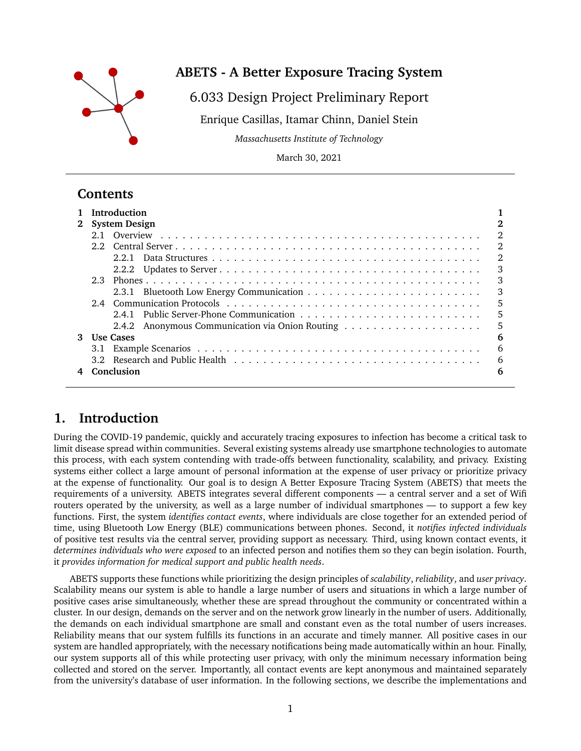

# **ABETS - A Better Exposure Tracing System**

## 6.033 Design Project Preliminary Report

Enrique Casillas, Itamar Chinn, Daniel Stein

*Massachusetts Institute of Technology*

March 30, 2021

# **Contents**

|              | <b>Introduction</b>  |                |  |  |  |  |
|--------------|----------------------|----------------|--|--|--|--|
| $2^{\circ}$  | <b>System Design</b> |                |  |  |  |  |
|              |                      | 2              |  |  |  |  |
|              |                      | $\mathfrak{D}$ |  |  |  |  |
|              |                      | 2              |  |  |  |  |
|              |                      | 3              |  |  |  |  |
|              |                      | 3              |  |  |  |  |
|              |                      | 3              |  |  |  |  |
|              |                      | 5              |  |  |  |  |
|              |                      | 5              |  |  |  |  |
|              |                      | 5              |  |  |  |  |
| $\mathbf{3}$ | <b>Use Cases</b>     |                |  |  |  |  |
|              | 3.1                  | 6              |  |  |  |  |
|              |                      | 6              |  |  |  |  |
|              | Conclusion           | 6              |  |  |  |  |

# **1. Introduction**

During the COVID-19 pandemic, quickly and accurately tracing exposures to infection has become a critical task to limit disease spread within communities. Several existing systems already use smartphone technologies to automate this process, with each system contending with trade-offs between functionality, scalability, and privacy. Existing systems either collect a large amount of personal information at the expense of user privacy or prioritize privacy at the expense of functionality. Our goal is to design A Better Exposure Tracing System (ABETS) that meets the requirements of a university. ABETS integrates several different components — a central server and a set of Wifi routers operated by the university, as well as a large number of individual smartphones — to support a few key functions. First, the system *identifies contact events*, where individuals are close together for an extended period of time, using Bluetooth Low Energy (BLE) communications between phones. Second, it *notifies infected individuals* of positive test results via the central server, providing support as necessary. Third, using known contact events, it *determines individuals who were exposed* to an infected person and notifies them so they can begin isolation. Fourth, it *provides information for medical support and public health needs*.

ABETS supports these functions while prioritizing the design principles of *scalability*, *reliability*, and *user privacy*. Scalability means our system is able to handle a large number of users and situations in which a large number of positive cases arise simultaneously, whether these are spread throughout the community or concentrated within a cluster. In our design, demands on the server and on the network grow linearly in the number of users. Additionally, the demands on each individual smartphone are small and constant even as the total number of users increases. Reliability means that our system fulfills its functions in an accurate and timely manner. All positive cases in our system are handled appropriately, with the necessary notifications being made automatically within an hour. Finally, our system supports all of this while protecting user privacy, with only the minimum necessary information being collected and stored on the server. Importantly, all contact events are kept anonymous and maintained separately from the university's database of user information. In the following sections, we describe the implementations and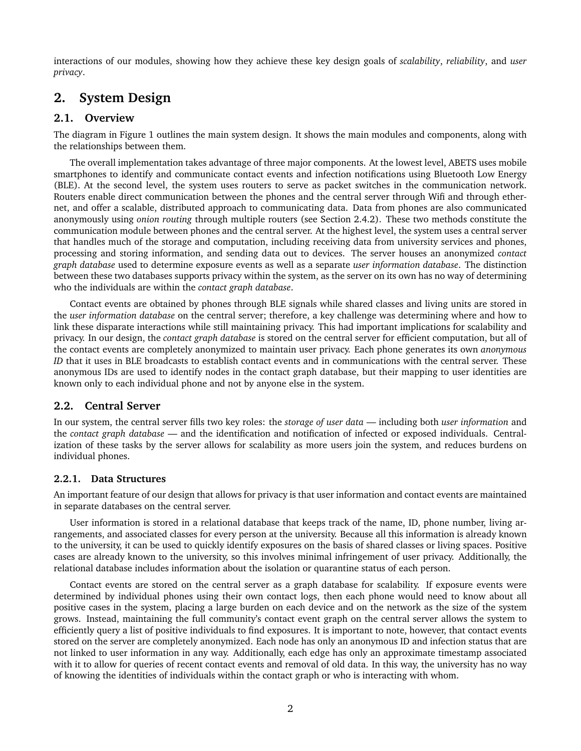interactions of our modules, showing how they achieve these key design goals of *scalability*, *reliability*, and *user privacy*.

# **2. System Design**

## **2.1. Overview**

The diagram in Figure 1 outlines the main system design. It shows the main modules and components, along with the relationships between them.

The overall implementation takes advantage of three major components. At the lowest level, ABETS uses mobile smartphones to identify and communicate contact events and infection notifications using Bluetooth Low Energy (BLE). At the second level, the system uses routers to serve as packet switches in the communication network. Routers enable direct communication between the phones and the central server through Wifi and through ethernet, and offer a scalable, distributed approach to communicating data. Data from phones are also communicated anonymously using *onion routing* through multiple routers (see Section 2.4.2). These two methods constitute the communication module between phones and the central server. At the highest level, the system uses a central server that handles much of the storage and computation, including receiving data from university services and phones, processing and storing information, and sending data out to devices. The server houses an anonymized *contact graph database* used to determine exposure events as well as a separate *user information database*. The distinction between these two databases supports privacy within the system, as the server on its own has no way of determining who the individuals are within the *contact graph database*.

Contact events are obtained by phones through BLE signals while shared classes and living units are stored in the *user information database* on the central server; therefore, a key challenge was determining where and how to link these disparate interactions while still maintaining privacy. This had important implications for scalability and privacy. In our design, the *contact graph database* is stored on the central server for efficient computation, but all of the contact events are completely anonymized to maintain user privacy. Each phone generates its own *anonymous ID* that it uses in BLE broadcasts to establish contact events and in communications with the central server. These anonymous IDs are used to identify nodes in the contact graph database, but their mapping to user identities are known only to each individual phone and not by anyone else in the system.

#### **2.2. Central Server**

In our system, the central server fills two key roles: the *storage of user data* — including both *user information* and the *contact graph database* — and the identification and notification of infected or exposed individuals. Centralization of these tasks by the server allows for scalability as more users join the system, and reduces burdens on individual phones.

#### **2.2.1. Data Structures**

An important feature of our design that allows for privacy is that user information and contact events are maintained in separate databases on the central server.

User information is stored in a relational database that keeps track of the name, ID, phone number, living arrangements, and associated classes for every person at the university. Because all this information is already known to the university, it can be used to quickly identify exposures on the basis of shared classes or living spaces. Positive cases are already known to the university, so this involves minimal infringement of user privacy. Additionally, the relational database includes information about the isolation or quarantine status of each person.

Contact events are stored on the central server as a graph database for scalability. If exposure events were determined by individual phones using their own contact logs, then each phone would need to know about all positive cases in the system, placing a large burden on each device and on the network as the size of the system grows. Instead, maintaining the full community's contact event graph on the central server allows the system to efficiently query a list of positive individuals to find exposures. It is important to note, however, that contact events stored on the server are completely anonymized. Each node has only an anonymous ID and infection status that are not linked to user information in any way. Additionally, each edge has only an approximate timestamp associated with it to allow for queries of recent contact events and removal of old data. In this way, the university has no way of knowing the identities of individuals within the contact graph or who is interacting with whom.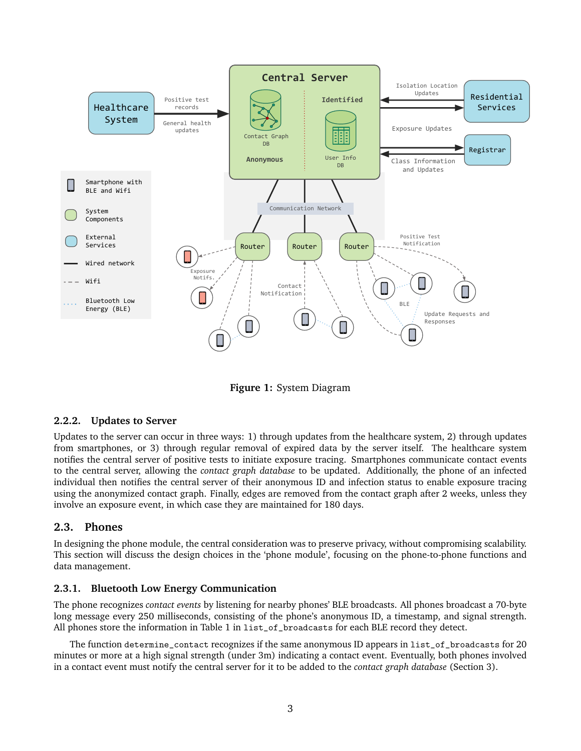

**Figure 1:** System Diagram

#### **2.2.2. Updates to Server**

Updates to the server can occur in three ways: 1) through updates from the healthcare system, 2) through updates from smartphones, or 3) through regular removal of expired data by the server itself. The healthcare system notifies the central server of positive tests to initiate exposure tracing. Smartphones communicate contact events to the central server, allowing the *contact graph database* to be updated. Additionally, the phone of an infected individual then notifies the central server of their anonymous ID and infection status to enable exposure tracing using the anonymized contact graph. Finally, edges are removed from the contact graph after 2 weeks, unless they involve an exposure event, in which case they are maintained for 180 days.

#### **2.3. Phones**

In designing the phone module, the central consideration was to preserve privacy, without compromising scalability. This section will discuss the design choices in the 'phone module', focusing on the phone-to-phone functions and data management.

#### **2.3.1. Bluetooth Low Energy Communication**

The phone recognizes *contact events* by listening for nearby phones' BLE broadcasts. All phones broadcast a 70-byte long message every 250 milliseconds, consisting of the phone's anonymous ID, a timestamp, and signal strength. All phones store the information in Table 1 in list\_of\_broadcasts for each BLE record they detect.

The function determine\_contact recognizes if the same anonymous ID appears in list\_of\_broadcasts for 20 minutes or more at a high signal strength (under 3m) indicating a contact event. Eventually, both phones involved in a contact event must notify the central server for it to be added to the *contact graph database* (Section 3).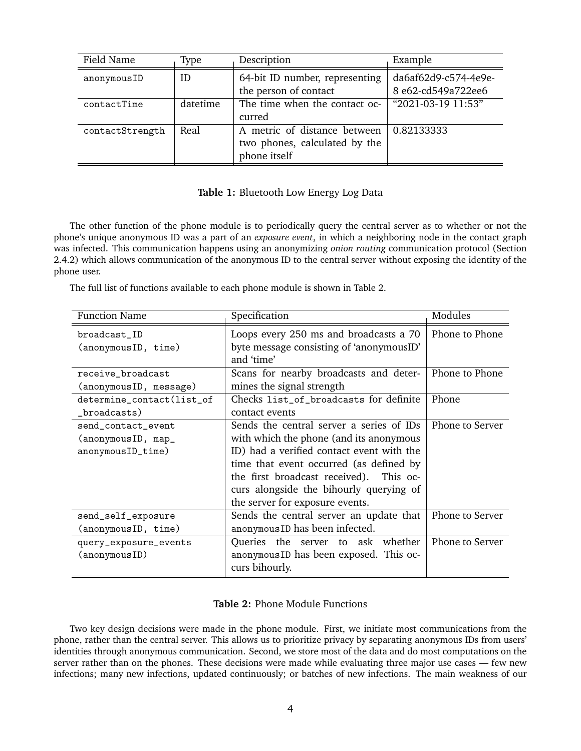| Field Name      | Type     | Description                                                                   | Example                                    |
|-----------------|----------|-------------------------------------------------------------------------------|--------------------------------------------|
| anonymousID     | ID       | 64-bit ID number, representing<br>the person of contact                       | da6af62d9-c574-4e9e-<br>8 e62-cd549a722ee6 |
| contactTime     | datetime | The time when the contact oc-<br>curred                                       | "2021-03-19 11:53"                         |
| contactStrength | Real     | A metric of distance between<br>two phones, calculated by the<br>phone itself | 0.82133333                                 |

#### **Table 1:** Bluetooth Low Energy Log Data

The other function of the phone module is to periodically query the central server as to whether or not the phone's unique anonymous ID was a part of an *exposure event*, in which a neighboring node in the contact graph was infected. This communication happens using an anonymizing *onion routing* communication protocol (Section 2.4.2) which allows communication of the anonymous ID to the central server without exposing the identity of the phone user.

The full list of functions available to each phone module is shown in Table 2.

| <b>Function Name</b>                | Specification                                                                                    | Modules         |
|-------------------------------------|--------------------------------------------------------------------------------------------------|-----------------|
| broadcast_ID<br>(anonymousID, time) | Loops every 250 ms and broadcasts a 70<br>byte message consisting of 'anonymousID'<br>and 'time' | Phone to Phone  |
| receive_broadcast                   | Scans for nearby broadcasts and deter-                                                           | Phone to Phone  |
| (anonymousID, message)              | mines the signal strength                                                                        |                 |
| determine_contact(list_of           | Checks list_of_broadcasts for definite                                                           | Phone           |
| _broadcasts)                        | contact events                                                                                   |                 |
| send_contact_event                  | Sends the central server a series of IDs                                                         | Phone to Server |
| (anonymousID, map_                  | with which the phone (and its anonymous                                                          |                 |
| anonymousID_time)                   | ID) had a verified contact event with the                                                        |                 |
|                                     | time that event occurred (as defined by                                                          |                 |
|                                     | the first broadcast received). This oc-                                                          |                 |
|                                     | curs alongside the bihourly querying of                                                          |                 |
|                                     | the server for exposure events.                                                                  |                 |
| send_self_exposure                  | Sends the central server an update that                                                          | Phone to Server |
| (anonymousID, time)                 | anonymous ID has been infected.                                                                  |                 |
| query_exposure_events               | Queries the server to ask whether                                                                | Phone to Server |
| (anonymous ID)                      | anonymous ID has been exposed. This oc-                                                          |                 |
|                                     | curs bihourly.                                                                                   |                 |

#### **Table 2:** Phone Module Functions

Two key design decisions were made in the phone module. First, we initiate most communications from the phone, rather than the central server. This allows us to prioritize privacy by separating anonymous IDs from users' identities through anonymous communication. Second, we store most of the data and do most computations on the server rather than on the phones. These decisions were made while evaluating three major use cases — few new infections; many new infections, updated continuously; or batches of new infections. The main weakness of our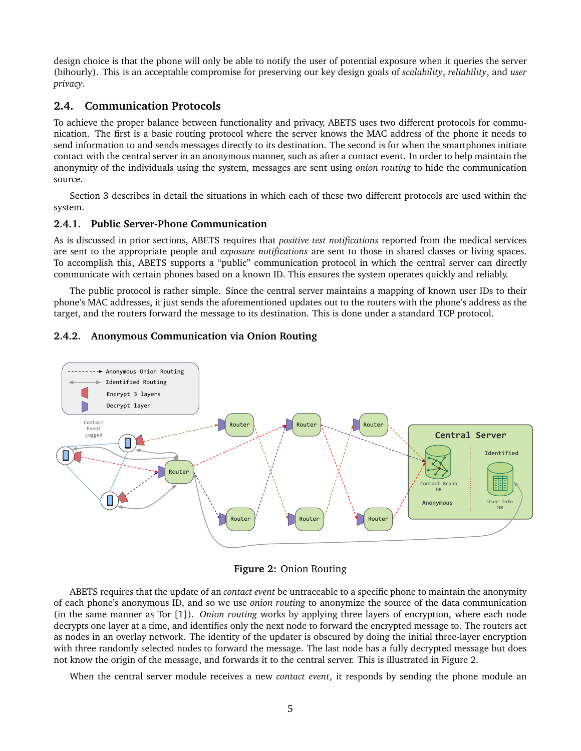design choice is that the phone will only be able to notify the user of potential exposure when it queries the server (bihourly). This is an acceptable compromise for preserving our key design goals of *scalability*, *reliability*, and *user privacy*.

## **2.4. Communication Protocols**

To achieve the proper balance between functionality and privacy, ABETS uses two different protocols for communication. The first is a basic routing protocol where the server knows the MAC address of the phone it needs to send information to and sends messages directly to its destination. The second is for when the smartphones initiate contact with the central server in an anonymous manner, such as after a contact event. In order to help maintain the anonymity of the individuals using the system, messages are sent using *onion routing* to hide the communication source.

Section 3 describes in detail the situations in which each of these two different protocols are used within the system.

#### **2.4.1. Public Server-Phone Communication**

As is discussed in prior sections, ABETS requires that *positive test notifications* reported from the medical services are sent to the appropriate people and *exposure notifications* are sent to those in shared classes or living spaces. To accomplish this, ABETS supports a "public" communication protocol in which the central server can directly communicate with certain phones based on a known ID. This ensures the system operates quickly and reliably.

The public protocol is rather simple. Since the central server maintains a mapping of known user IDs to their phone's MAC addresses, it just sends the aforementioned updates out to the routers with the phone's address as the target, and the routers forward the message to its destination. This is done under a standard TCP protocol.

# 2.4.2. Anonymous Communication via Onion Routing





ABETS requires that the update of an *contact event* be untraceable to a specific phone to maintain the anonymity of each phone's anonymous ID, and so we use *onion routing* to anonymize the source of the data communication (in the same manner as Tor [1]). *Onion routing* works by applying three layers of encryption, where each node decrypts one layer at a time, and identifies only the next node to forward the encrypted message to. The routers act as nodes in an overlay network. The identity of the updater is obscured by doing the initial three-layer encryption with three randomly selected nodes to forward the message. The last node has a fully decrypted message but does not know the origin of the message, and forwards it to the central server. This is illustrated in Figure 2.

When the central server module receives a new *contact event*, it responds by sending the phone module an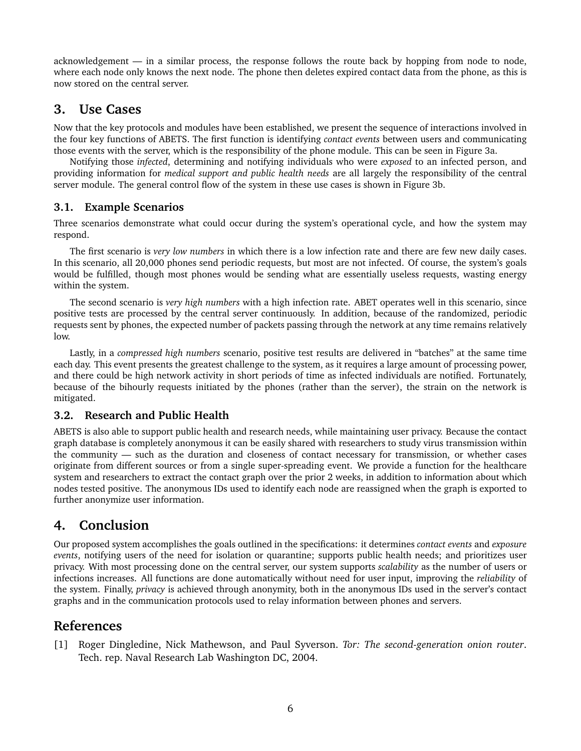acknowledgement — in a similar process, the response follows the route back by hopping from node to node, where each node only knows the next node. The phone then deletes expired contact data from the phone, as this is now stored on the central server.

## **3. Use Cases**

Now that the key protocols and modules have been established, we present the sequence of interactions involved in the four key functions of ABETS. The first function is identifying *contact events* between users and communicating those events with the server, which is the responsibility of the phone module. This can be seen in Figure 3a.

Notifying those *infected*, determining and notifying individuals who were *exposed* to an infected person, and providing information for *medical support and public health needs* are all largely the responsibility of the central server module. The general control flow of the system in these use cases is shown in Figure 3b.

## **3.1. Example Scenarios**

Three scenarios demonstrate what could occur during the system's operational cycle, and how the system may respond.

The first scenario is *very low numbers* in which there is a low infection rate and there are few new daily cases. In this scenario, all 20,000 phones send periodic requests, but most are not infected. Of course, the system's goals would be fulfilled, though most phones would be sending what are essentially useless requests, wasting energy within the system.

The second scenario is *very high numbers* with a high infection rate. ABET operates well in this scenario, since positive tests are processed by the central server continuously. In addition, because of the randomized, periodic requests sent by phones, the expected number of packets passing through the network at any time remains relatively low.

Lastly, in a *compressed high numbers* scenario, positive test results are delivered in "batches" at the same time each day. This event presents the greatest challenge to the system, as it requires a large amount of processing power, and there could be high network activity in short periods of time as infected individuals are notified. Fortunately, because of the bihourly requests initiated by the phones (rather than the server), the strain on the network is mitigated.

## **3.2. Research and Public Health**

ABETS is also able to support public health and research needs, while maintaining user privacy. Because the contact graph database is completely anonymous it can be easily shared with researchers to study virus transmission within the community — such as the duration and closeness of contact necessary for transmission, or whether cases originate from different sources or from a single super-spreading event. We provide a function for the healthcare system and researchers to extract the contact graph over the prior 2 weeks, in addition to information about which nodes tested positive. The anonymous IDs used to identify each node are reassigned when the graph is exported to further anonymize user information.

# **4. Conclusion**

Our proposed system accomplishes the goals outlined in the specifications: it determines *contact events* and *exposure events*, notifying users of the need for isolation or quarantine; supports public health needs; and prioritizes user privacy. With most processing done on the central server, our system supports *scalability* as the number of users or infections increases. All functions are done automatically without need for user input, improving the *reliability* of the system. Finally, *privacy* is achieved through anonymity, both in the anonymous IDs used in the server's contact graphs and in the communication protocols used to relay information between phones and servers.

## **References**

[1] Roger Dingledine, Nick Mathewson, and Paul Syverson. *Tor: The second-generation onion router*. Tech. rep. Naval Research Lab Washington DC, 2004.